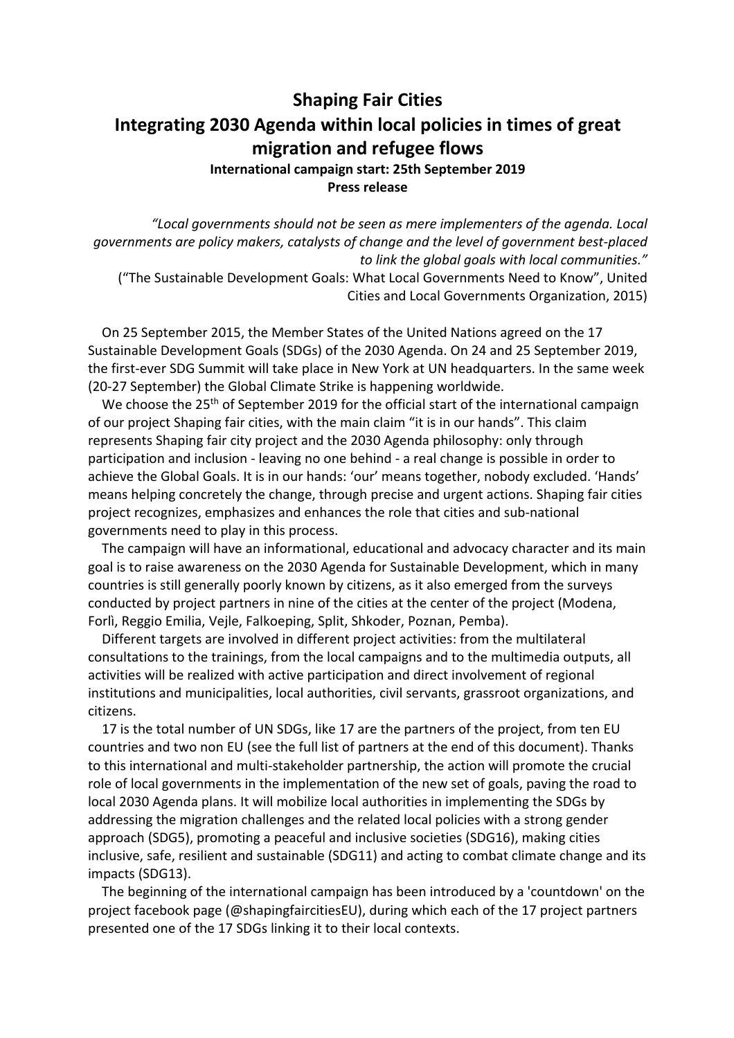## **Shaping Fair Cities Integrating 2030 Agenda within local policies in times of great migration and refugee flows**

**International campaign start: 25th September 2019 Press release**

*"Local governments should not be seen as mere implementers of the agenda. Local governments are policy makers, catalysts of change and the level of government best-placed to link the global goals with local communities."*

("The Sustainable Development Goals: What Local Governments Need to Know", United Cities and Local Governments Organization, 2015)

On 25 September 2015, the Member States of the United Nations agreed on the 17 Sustainable Development Goals (SDGs) of the 2030 Agenda. On 24 and 25 September 2019, the first-ever SDG Summit will take place in New York at UN headquarters. In the same week (20-27 September) the Global Climate Strike is happening worldwide.

We choose the 25<sup>th</sup> of September 2019 for the official start of the international campaign of our project Shaping fair cities, with the main claim "it is in our hands". This claim represents Shaping fair city project and the 2030 Agenda philosophy: only through participation and inclusion - leaving no one behind - a real change is possible in order to achieve the Global Goals. It is in our hands: 'our' means together, nobody excluded. 'Hands' means helping concretely the change, through precise and urgent actions. Shaping fair cities project recognizes, emphasizes and enhances the role that cities and sub-national governments need to play in this process.

The campaign will have an informational, educational and advocacy character and its main goal is to raise awareness on the 2030 Agenda for Sustainable Development, which in many countries is still generally poorly known by citizens, as it also emerged from the surveys conducted by project partners in nine of the cities at the center of the project (Modena, Forlì, Reggio Emilia, Vejle, Falkoeping, Split, Shkoder, Poznan, Pemba).

Different targets are involved in different project activities: from the multilateral consultations to the trainings, from the local campaigns and to the multimedia outputs, all activities will be realized with active participation and direct involvement of regional institutions and municipalities, local authorities, civil servants, grassroot organizations, and citizens.

17 is the total number of UN SDGs, like 17 are the partners of the project, from ten EU countries and two non EU (see the full list of partners at the end of this document). Thanks to this international and multi-stakeholder partnership, the action will promote the crucial role of local governments in the implementation of the new set of goals, paving the road to local 2030 Agenda plans. It will mobilize local authorities in implementing the SDGs by addressing the migration challenges and the related local policies with a strong gender approach (SDG5), promoting a peaceful and inclusive societies (SDG16), making cities inclusive, safe, resilient and sustainable (SDG11) and acting to combat climate change and its impacts (SDG13).

The beginning of the international campaign has been introduced by a 'countdown' on the project facebook page (@shapingfaircitiesEU), during which each of the 17 project partners presented one of the 17 SDGs linking it to their local contexts.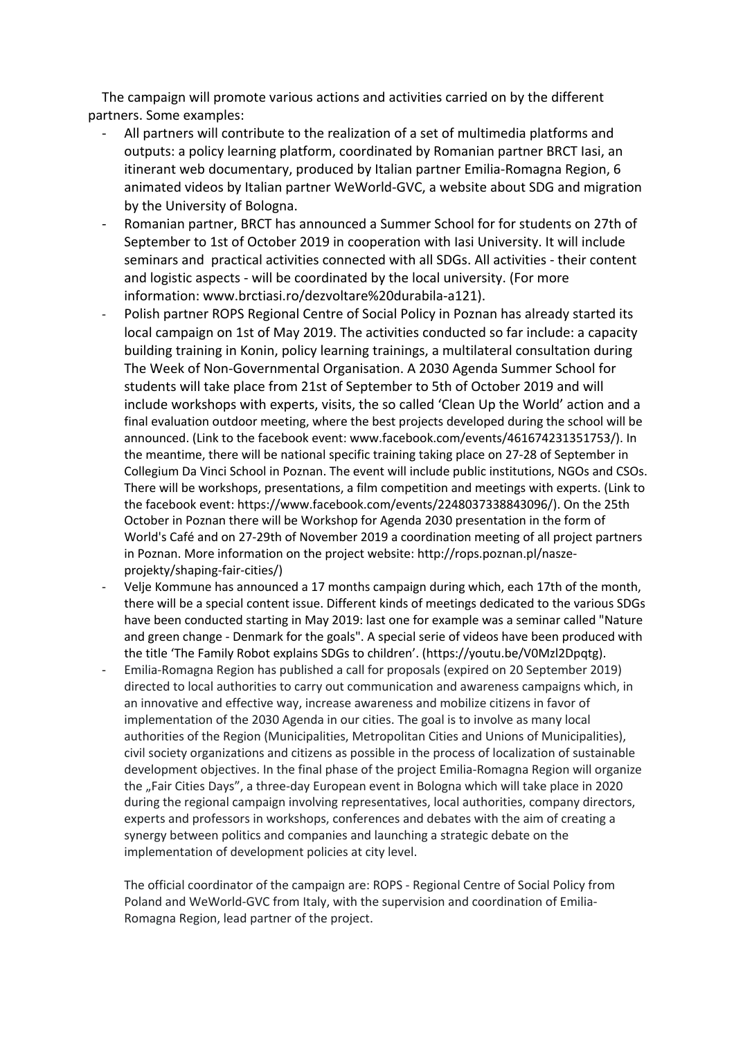The campaign will promote various actions and activities carried on by the different partners. Some examples:

- All partners will contribute to the realization of a set of multimedia platforms and outputs: a policy learning platform, coordinated by Romanian partner BRCT Iasi, an itinerant web documentary, produced by Italian partner Emilia-Romagna Region, 6 animated videos by Italian partner WeWorld-GVC, a website about SDG and migration by the University of Bologna.
- Romanian partner, BRCT has announced a Summer School for for students on 27th of September to 1st of October 2019 in cooperation with Iasi University. It will include seminars and practical activities connected with all SDGs. All activities - their content and logistic aspects - will be coordinated by the local university. (For more information: www.brctiasi.ro/dezvoltare%20durabila-a121).
- Polish partner ROPS Regional Centre of Social Policy in Poznan has already started its local campaign on 1st of May 2019. The activities conducted so far include: a capacity building training in Konin, policy learning trainings, a multilateral consultation during The Week of Non-Governmental Organisation. A 2030 Agenda Summer School for students will take place from 21st of September to 5th of October 2019 and will include workshops with experts, visits, the so called 'Clean Up the World' action and a final evaluation outdoor meeting, where the best projects developed during the school will be announced. (Link to the facebook event: www.facebook.com/events/461674231351753/). In the meantime, there will be national specific training taking place on 27-28 of September in Collegium Da Vinci School in Poznan. The event will include public institutions, NGOs and CSOs. There will be workshops, presentations, a film competition and meetings with experts. (Link to the facebook event: https://www.facebook.com/events/2248037338843096/). On the 25th October in Poznan there will be Workshop for Agenda 2030 presentation in the form of World's Café and on 27-29th of November 2019 a coordination meeting of all project partners in Poznan. More information on the project website: http://rops.poznan.pl/naszeprojekty/shaping-fair-cities/)
- Velje Kommune has announced a 17 months campaign during which, each 17th of the month, there will be a special content issue. Different kinds of meetings dedicated to the various SDGs have been conducted starting in May 2019: last one for example was a seminar called "Nature and green change - Denmark for the goals". A special serie of videos have been produced with the title 'The Family Robot explains SDGs to children'. (https://youtu.be/V0Mzl2Dpqtg).
- Emilia-Romagna Region has published a call for proposals (expired on 20 September 2019) directed to local authorities to carry out communication and awareness campaigns which, in an innovative and effective way, increase awareness and mobilize citizens in favor of implementation of the 2030 Agenda in our cities. The goal is to involve as many local authorities of the Region (Municipalities, Metropolitan Cities and Unions of Municipalities), civil society organizations and citizens as possible in the process of localization of sustainable development objectives. In the final phase of the project Emilia-Romagna Region will organize the "Fair Cities Days", a three-day European event in Bologna which will take place in 2020 during the regional campaign involving representatives, local authorities, company directors, experts and professors in workshops, conferences and debates with the aim of creating a synergy between politics and companies and launching a strategic debate on the implementation of development policies at city level.

The official coordinator of the campaign are: ROPS - Regional Centre of Social Policy from Poland and WeWorld-GVC from Italy, with the supervision and coordination of Emilia-Romagna Region, lead partner of the project.